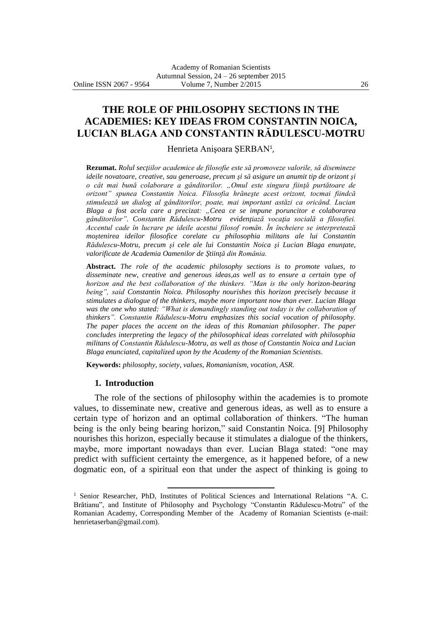**THE ROLE OF PHILOSOPHY SECTIONS IN THE ACADEMIES: KEY IDEAS FROM CONSTANTIN NOICA, LUCIAN BLAGA AND CONSTANTIN RĂDULESCU-MOTRU**

Henrieta Anişoara ŞERBAN<sup>1</sup> ,

**Rezumat.** *Rolul secţiilor academice de filosofie este să promoveze valorile, să disemineze ideile novatoare, creative, sau generoase, precum şi să asigure un anumit tip de orizont şi o cât mai bună colaborare a gânditorilor. "Omul este singura fiinţă purtătoare de orizont" spunea Constantin Noica. Filosofia hrăneşte acest orizont, tocmai fiindcă stimulează un dialog al gânditorilor, poate, mai important astăzi ca oricând. Lucian Blaga a fost acela care a precizat: "Ceea ce se impune poruncitor e colaborarea gânditorilor". Constantin Rădulescu-Motru evidenţiază vocaţia socială a filosofiei. Accentul cade în lucrare pe ideile acestui filosof român. În încheiere se interpretează moştenirea ideilor filosofice corelate cu philosophia militans ale lui Constantin Rădulescu-Motru, precum şi cele ale lui Constantin Noica şi Lucian Blaga enunţate, valorificate de Academia Oamenilor de Ştiinţă din România.*

**Abstract.** *The role of the academic philosophy sections is to promote values, to disseminate new, creative and generous ideas,as well as to ensure a certain type of horizon and the best collaboration of the thinkers. "Man is the only horizon-bearing being", said Constantin Noica. Philosophy nourishes this horizon precisely because it stimulates a dialogue of the thinkers, maybe more important now than ever. Lucian Blaga was the one who stated: "What is demandingly standing out today is the collaboration of thinkers". Constantin Rădulescu-Motru emphasizes this social vocation of philosophy. The paper places the accent on the ideas of this Romanian philosopher. The paper concludes interpreting the legacy of the philosophical ideas correlated with philosophia militans of Constantin Rădulescu-Motru, as well as those of Constantin Noica and Lucian Blaga enunciated, capitalized upon by the Academy of the Romanian Scientists.*

**Keywords:** *philosophy, society, values, Romanianism, vocation, ASR.*

 $\overline{a}$ 

#### **1. Introduction**

The role of the sections of philosophy within the academies is to promote values, to disseminate new, creative and generous ideas, as well as to ensure a certain type of horizon and an optimal collaboration of thinkers. "The human being is the only being bearing horizon," said Constantin Noica. [9] Philosophy nourishes this horizon, especially because it stimulates a dialogue of the thinkers, maybe, more important nowadays than ever. Lucian Blaga stated: "one may predict with sufficient certainty the emergence, as it happened before, of a new dogmatic eon, of a spiritual eon that under the aspect of thinking is going to

<sup>&</sup>lt;sup>1</sup> Senior Researcher, PhD, Institutes of Political Sciences and International Relations "A. C. Brătianu", and Institute of Philosophy and Psychology "Constantin Rădulescu-Motru" of the Romanian Academy, Corresponding Member of the Academy of Romanian Scientists (e-mail: henrietaserban@gmail.com).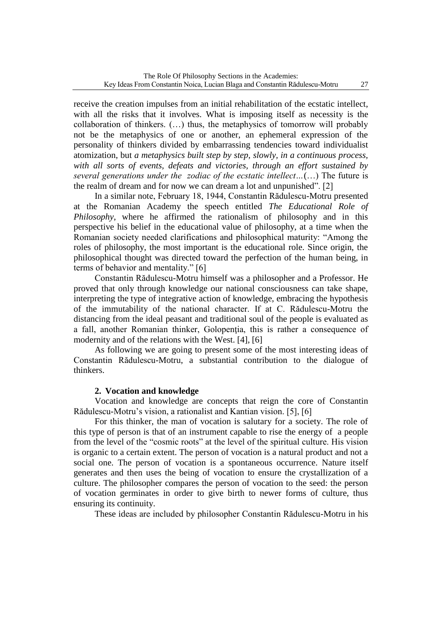receive the creation impulses from an initial rehabilitation of the ecstatic intellect, with all the risks that it involves. What is imposing itself as necessity is the collaboration of thinkers. (…) thus, the metaphysics of tomorrow will probably not be the metaphysics of one or another, an ephemeral expression of the personality of thinkers divided by embarrassing tendencies toward individualist atomization, but *a metaphysics built step by step, slowly, in a continuous process, with all sorts of events, defeats and victories, through an effort sustained by several generations under the zodiac of the ecstatic intellect…*(…) The future is the realm of dream and for now we can dream a lot and unpunished". [2]

In a similar note, February 18, 1944, Constantin Rădulescu-Motru presented at the Romanian Academy the speech entitled *The Educational Role of Philosophy*, where he affirmed the rationalism of philosophy and in this perspective his belief in the educational value of philosophy, at a time when the Romanian society needed clarifications and philosophical maturity: "Among the roles of philosophy, the most important is the educational role. Since origin, the philosophical thought was directed toward the perfection of the human being, in terms of behavior and mentality." [6]

Constantin Rădulescu-Motru himself was a philosopher and a Professor. He proved that only through knowledge our national consciousness can take shape, interpreting the type of integrative action of knowledge, embracing the hypothesis of the immutability of the national character. If at C. Rădulescu-Motru the distancing from the ideal peasant and traditional soul of the people is evaluated as a fall, another Romanian thinker, Golopenţia, this is rather a consequence of modernity and of the relations with the West. [4], [6]

As following we are going to present some of the most interesting ideas of Constantin Rădulescu-Motru, a substantial contribution to the dialogue of thinkers.

# **2. Vocation and knowledge**

Vocation and knowledge are concepts that reign the core of Constantin Rădulescu-Motru's vision, a rationalist and Kantian vision. [5], [6]

For this thinker, the man of vocation is salutary for a society. The role of this type of person is that of an instrument capable to rise the energy of a people from the level of the "cosmic roots" at the level of the spiritual culture. His vision is organic to a certain extent. The person of vocation is a natural product and not a social one. The person of vocation is a spontaneous occurrence. Nature itself generates and then uses the being of vocation to ensure the crystallization of a culture. The philosopher compares the person of vocation to the seed: the person of vocation germinates in order to give birth to newer forms of culture, thus ensuring its continuity.

These ideas are included by philosopher Constantin Rădulescu-Motru in his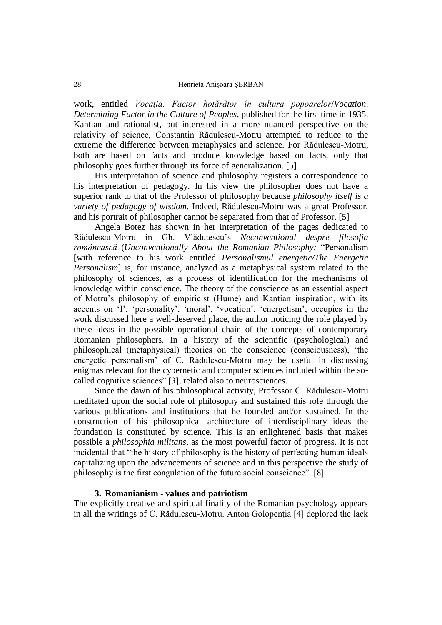work, entitled *Vocaţia. Factor hotărâtor în cultura popoarelor*/*Vocation*. *Determining Factor in the Culture of Peoples*, published for the first time in 1935. Kantian and rationalist, but interested in a more nuanced perspective on the relativity of science, Constantin Rădulescu-Motru attempted to reduce to the extreme the difference between metaphysics and science. For Rădulescu-Motru, both are based on facts and produce knowledge based on facts, only that philosophy goes further through its force of generalization. [5]

His interpretation of science and philosophy registers a correspondence to his interpretation of pedagogy. In his view the philosopher does not have a superior rank to that of the Professor of philosophy because *philosophy itself is a variety of pedagogy of wisdom.* Indeed, Rădulescu-Motru was a great Professor, and his portrait of philosopher cannot be separated from that of Professor. [5]

Angela Botez has shown in her interpretation of the pages dedicated to Rădulescu-Motru in Gh. Vlădutescu's *Neconventional despre filosofia românească* (*Unconventionally About the Romanian Philosophy:* "Personalism [with reference to his work entitled *Personalismul energetic/The Energetic Personalism* is, for instance, analyzed as a metaphysical system related to the philosophy of sciences, as a process of identification for the mechanisms of knowledge within conscience. The theory of the conscience as an essential aspect of Motru's philosophy of empiricist (Hume) and Kantian inspiration, with its accents on 'I', 'personality', 'moral', 'vocation', 'energetism', occupies in the work discussed here a well-deserved place, the author noticing the role played by these ideas in the possible operational chain of the concepts of contemporary Romanian philosophers. In a history of the scientific (psychological) and philosophical (metaphysical) theories on the conscience (consciousness), 'the energetic personalism' of C. Rădulescu-Motru may be useful in discussing enigmas relevant for the cybernetic and computer sciences included within the socalled cognitive sciences" [3], related also to neurosciences.

Since the dawn of his philosophical activity, Professor C. Rădulescu-Motru meditated upon the social role of philosophy and sustained this role through the various publications and institutions that he founded and/or sustained. In the construction of his philosophical architecture of interdisciplinary ideas the foundation is constituted by science. This is an enlightened basis that makes possible a *philosophia militans*, as the most powerful factor of progress. It is not incidental that "the history of philosophy is the history of perfecting human ideals capitalizing upon the advancements of science and in this perspective the study of philosophy is the first coagulation of the future social conscience". [8]

### **3. Romanianism - values and patriotism**

The explicitly creative and spiritual finality of the Romanian psychology appears in all the writings of C. Rădulescu-Motru. Anton Golopenţia [4] deplored the lack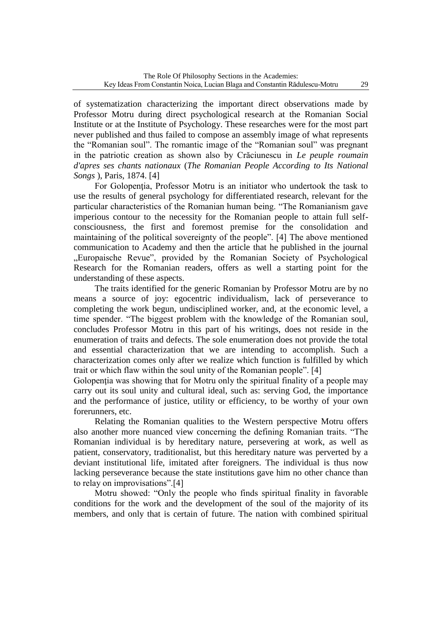of systematization characterizing the important direct observations made by Professor Motru during direct psychological research at the Romanian Social Institute or at the Institute of Psychology. These researches were for the most part never published and thus failed to compose an assembly image of what represents the "Romanian soul". The romantic image of the "Romanian soul" was pregnant in the patriotic creation as shown also by Crăciunescu in *Le peuple roumain d'apres ses chants nationaux* (*The Romanian People According to Its National Songs* ), Paris, 1874. [4]

For Golopenţia, Professor Motru is an initiator who undertook the task to use the results of general psychology for differentiated research, relevant for the particular characteristics of the Romanian human being. "The Romanianism gave imperious contour to the necessity for the Romanian people to attain full selfconsciousness, the first and foremost premise for the consolidation and maintaining of the political sovereignty of the people". [4] The above mentioned communication to Academy and then the article that he published in the journal "Europaische Revue", provided by the Romanian Society of Psychological Research for the Romanian readers, offers as well a starting point for the understanding of these aspects.

The traits identified for the generic Romanian by Professor Motru are by no means a source of joy: egocentric individualism, lack of perseverance to completing the work begun, undisciplined worker, and, at the economic level, a time spender. "The biggest problem with the knowledge of the Romanian soul, concludes Professor Motru in this part of his writings, does not reside in the enumeration of traits and defects. The sole enumeration does not provide the total and essential characterization that we are intending to accomplish. Such a characterization comes only after we realize which function is fulfilled by which trait or which flaw within the soul unity of the Romanian people". [4]

Golopentia was showing that for Motru only the spiritual finality of a people may carry out its soul unity and cultural ideal, such as: serving God, the importance and the performance of justice, utility or efficiency, to be worthy of your own forerunners, etc.

Relating the Romanian qualities to the Western perspective Motru offers also another more nuanced view concerning the defining Romanian traits. "The Romanian individual is by hereditary nature, persevering at work, as well as patient, conservatory, traditionalist, but this hereditary nature was perverted by a deviant institutional life, imitated after foreigners. The individual is thus now lacking perseverance because the state institutions gave him no other chance than to relay on improvisations".[4]

Motru showed: "Only the people who finds spiritual finality in favorable conditions for the work and the development of the soul of the majority of its members, and only that is certain of future. The nation with combined spiritual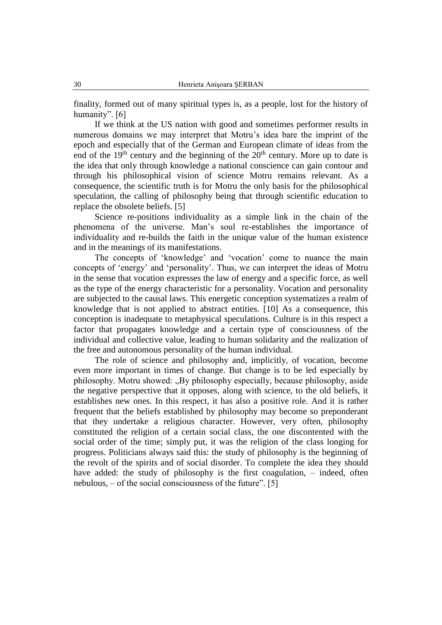finality, formed out of many spiritual types is, as a people, lost for the history of humanity". [6]

If we think at the US nation with good and sometimes performer results in numerous domains we may interpret that Motru's idea bare the imprint of the epoch and especially that of the German and European climate of ideas from the end of the  $19<sup>th</sup>$  century and the beginning of the  $20<sup>th</sup>$  century. More up to date is the idea that only through knowledge a national conscience can gain contour and through his philosophical vision of science Motru remains relevant. As a consequence, the scientific truth is for Motru the only basis for the philosophical speculation, the calling of philosophy being that through scientific education to replace the obsolete beliefs. [5]

Science re-positions individuality as a simple link in the chain of the phenomena of the universe. Man's soul re-establishes the importance of individuality and re-builds the faith in the unique value of the human existence and in the meanings of its manifestations.

The concepts of 'knowledge' and 'vocation' come to nuance the main concepts of 'energy' and 'personality'. Thus, we can interpret the ideas of Motru in the sense that vocation expresses the law of energy and a specific force, as well as the type of the energy characteristic for a personality. Vocation and personality are subjected to the causal laws. This energetic conception systematizes a realm of knowledge that is not applied to abstract entities. [10] As a consequence, this conception is inadequate to metaphysical speculations. Culture is in this respect a factor that propagates knowledge and a certain type of consciousness of the individual and collective value, leading to human solidarity and the realization of the free and autonomous personality of the human individual.

The role of science and philosophy and, implicitly, of vocation, become even more important in times of change. But change is to be led especially by philosophy. Motru showed: "By philosophy especially, because philosophy, aside the negative perspective that it opposes, along with science, to the old beliefs, it establishes new ones. In this respect, it has also a positive role. And it is rather frequent that the beliefs established by philosophy may become so preponderant that they undertake a religious character. However, very often, philosophy constituted the religion of a certain social class, the one discontented with the social order of the time; simply put, it was the religion of the class longing for progress. Politicians always said this: the study of philosophy is the beginning of the revolt of the spirits and of social disorder. To complete the idea they should have added: the study of philosophy is the first coagulation, – indeed, often nebulous, – of the social consciousness of the future". [5]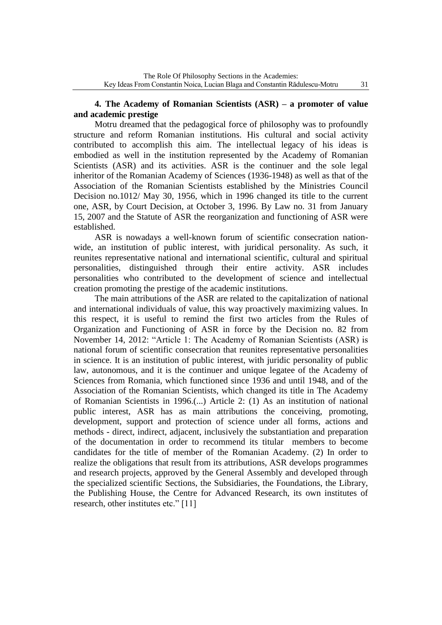# **4. The Academy of Romanian Scientists (ASR) – a promoter of value and academic prestige**

Motru dreamed that the pedagogical force of philosophy was to profoundly structure and reform Romanian institutions. His cultural and social activity contributed to accomplish this aim. The intellectual legacy of his ideas is embodied as well in the institution represented by the Academy of Romanian Scientists (ASR) and its activities. ASR is the continuer and the sole legal inheritor of the Romanian Academy of Sciences (1936-1948) as well as that of the Association of the Romanian Scientists established by the Ministries Council Decision no.1012/ May 30, 1956, which in 1996 changed its title to the current one, ASR, by Court Decision, at October 3, 1996. By Law no. 31 from January 15, 2007 and the Statute of ASR the reorganization and functioning of ASR were established.

ASR is nowadays a well-known forum of scientific consecration nationwide, an institution of public interest, with juridical personality. As such, it reunites representative national and international scientific, cultural and spiritual personalities, distinguished through their entire activity. ASR includes personalities who contributed to the development of science and intellectual creation promoting the prestige of the academic institutions.

The main attributions of the ASR are related to the capitalization of national and international individuals of value, this way proactively maximizing values. In this respect, it is useful to remind the first two articles from the Rules of Organization and Functioning of ASR in force by the Decision no. 82 from November 14, 2012: "Article 1: The Academy of Romanian Scientists (ASR) is national forum of scientific consecration that reunites representative personalities in science. It is an institution of public interest, with juridic personality of public law, autonomous, and it is the continuer and unique legatee of the Academy of Sciences from Romania, which functioned since 1936 and until 1948, and of the Association of the Romanian Scientists, which changed its title in The Academy of Romanian Scientists in 1996.(...) Article 2: (1) As an institution of national public interest, ASR has as main attributions the conceiving, promoting, development, support and protection of science under all forms, actions and methods - direct, indirect, adjacent, inclusively the substantiation and preparation of the documentation in order to recommend its titular members to become candidates for the title of member of the Romanian Academy. (2) In order to realize the obligations that result from its attributions, ASR develops programmes and research projects, approved by the General Assembly and developed through the specialized scientific Sections, the Subsidiaries, the Foundations, the Library, the Publishing House, the Centre for Advanced Research, its own institutes of research, other institutes etc." [11]